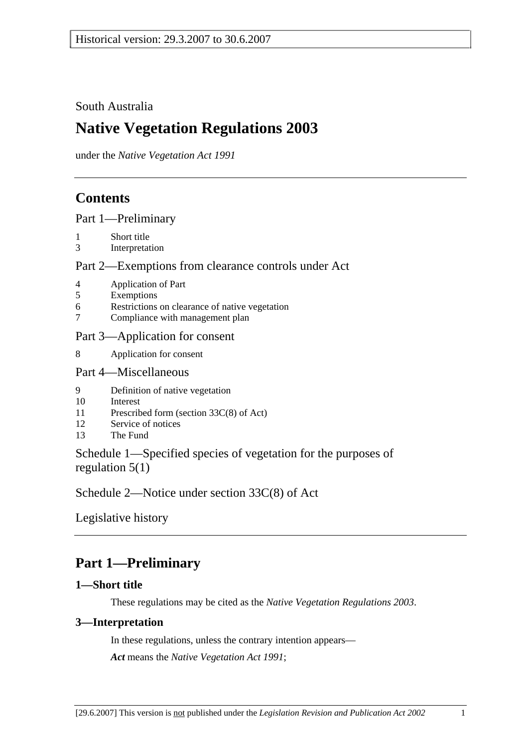### South Australia

# **Native Vegetation Regulations 2003**

under the *Native Vegetation Act 1991*

## **Contents**

Part 1—Preliminary

- 1 Short title
- 3 Interpretation

### Part 2—Exemptions from clearance controls under Act

- 4 Application of Part
- 5 Exemptions
- 6 Restrictions on clearance of native vegetation
- 7 Compliance with management plan

### Part 3—Application for consent

8 Application for consent

#### Part 4—Miscellaneous

- 9 Definition of native vegetation
- 10 Interest
- 11 Prescribed form (section 33C(8) of Act)
- 12 Service of notices
- 13 The Fund

Schedule 1—Specified species of vegetation for the purposes of regulation 5(1)

Schedule 2—Notice under section 33C(8) of Act

Legislative history

## **Part 1—Preliminary**

### **1—Short title**

These regulations may be cited as the *Native Vegetation Regulations 2003*.

### **3—Interpretation**

In these regulations, unless the contrary intention appears— *Act* means the *Native Vegetation Act 1991*;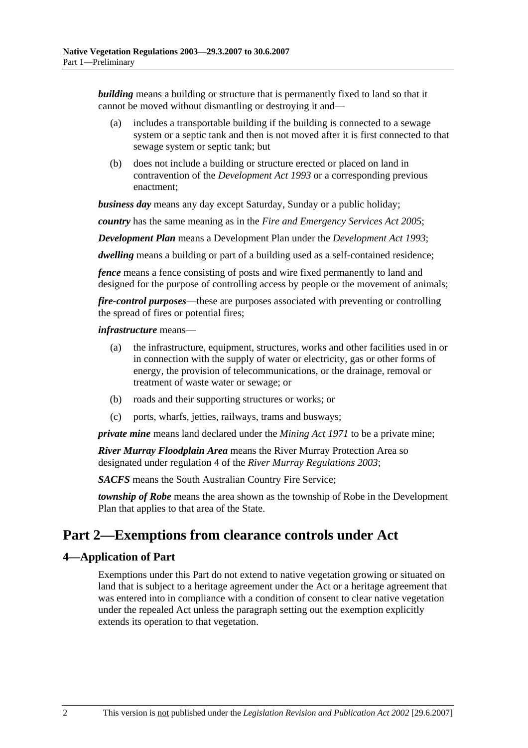*building* means a building or structure that is permanently fixed to land so that it cannot be moved without dismantling or destroying it and—

- (a) includes a transportable building if the building is connected to a sewage system or a septic tank and then is not moved after it is first connected to that sewage system or septic tank; but
- (b) does not include a building or structure erected or placed on land in contravention of the *Development Act 1993* or a corresponding previous enactment;

*business day* means any day except Saturday, Sunday or a public holiday;

*country* has the same meaning as in the *Fire and Emergency Services Act 2005*;

*Development Plan* means a Development Plan under the *Development Act 1993*;

*dwelling* means a building or part of a building used as a self-contained residence;

*fence* means a fence consisting of posts and wire fixed permanently to land and designed for the purpose of controlling access by people or the movement of animals;

*fire-control purposes*—these are purposes associated with preventing or controlling the spread of fires or potential fires;

#### *infrastructure* means—

- (a) the infrastructure, equipment, structures, works and other facilities used in or in connection with the supply of water or electricity, gas or other forms of energy, the provision of telecommunications, or the drainage, removal or treatment of waste water or sewage; or
- (b) roads and their supporting structures or works; or
- (c) ports, wharfs, jetties, railways, trams and busways;

*private mine* means land declared under the *Mining Act 1971* to be a private mine;

*River Murray Floodplain Area* means the River Murray Protection Area so designated under regulation 4 of the *River Murray Regulations 2003*;

*SACFS* means the South Australian Country Fire Service;

*township of Robe* means the area shown as the township of Robe in the Development Plan that applies to that area of the State.

### **Part 2—Exemptions from clearance controls under Act**

### **4—Application of Part**

Exemptions under this Part do not extend to native vegetation growing or situated on land that is subject to a heritage agreement under the Act or a heritage agreement that was entered into in compliance with a condition of consent to clear native vegetation under the repealed Act unless the paragraph setting out the exemption explicitly extends its operation to that vegetation.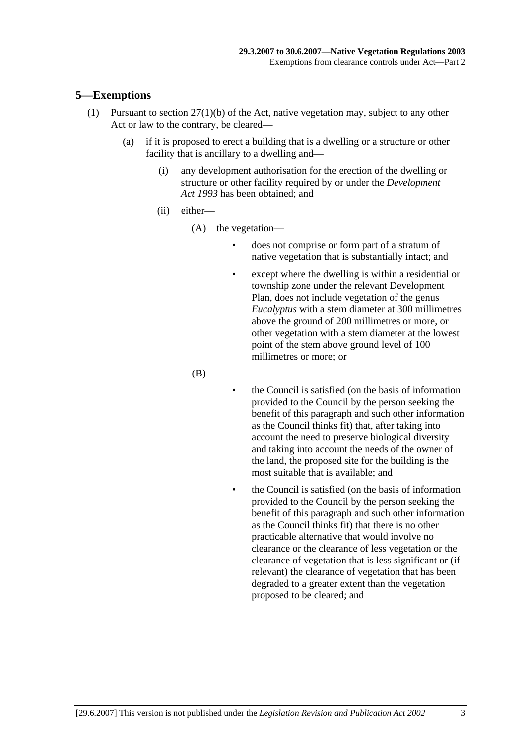### **5—Exemptions**

- (1) Pursuant to section 27(1)(b) of the Act, native vegetation may, subject to any other Act or law to the contrary, be cleared—
	- (a) if it is proposed to erect a building that is a dwelling or a structure or other facility that is ancillary to a dwelling and—
		- (i) any development authorisation for the erection of the dwelling or structure or other facility required by or under the *Development Act 1993* has been obtained; and
		- (ii) either—
			- (A) the vegetation—
				- does not comprise or form part of a stratum of native vegetation that is substantially intact; and
				- except where the dwelling is within a residential or township zone under the relevant Development Plan, does not include vegetation of the genus *Eucalyptus* with a stem diameter at 300 millimetres above the ground of 200 millimetres or more, or other vegetation with a stem diameter at the lowest point of the stem above ground level of 100 millimetres or more; or

 $(B)$ 

- the Council is satisfied (on the basis of information provided to the Council by the person seeking the benefit of this paragraph and such other information as the Council thinks fit) that, after taking into account the need to preserve biological diversity and taking into account the needs of the owner of the land, the proposed site for the building is the most suitable that is available; and
- the Council is satisfied (on the basis of information provided to the Council by the person seeking the benefit of this paragraph and such other information as the Council thinks fit) that there is no other practicable alternative that would involve no clearance or the clearance of less vegetation or the clearance of vegetation that is less significant or (if relevant) the clearance of vegetation that has been degraded to a greater extent than the vegetation proposed to be cleared; and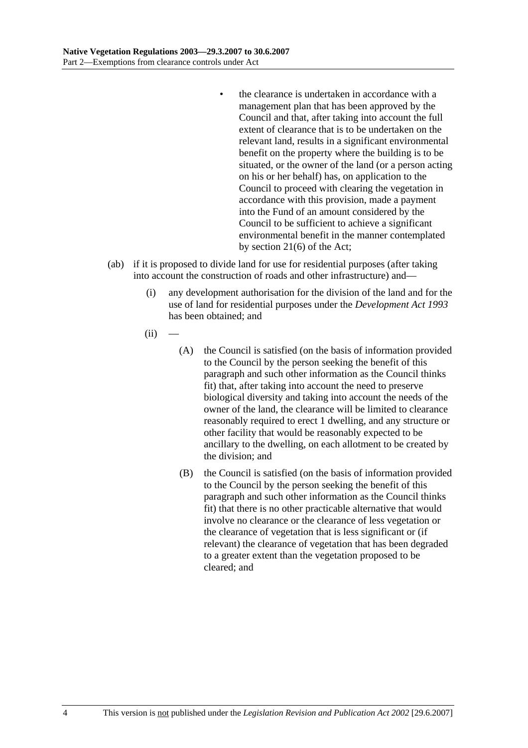- the clearance is undertaken in accordance with a management plan that has been approved by the Council and that, after taking into account the full extent of clearance that is to be undertaken on the relevant land, results in a significant environmental benefit on the property where the building is to be situated, or the owner of the land (or a person acting on his or her behalf) has, on application to the Council to proceed with clearing the vegetation in accordance with this provision, made a payment into the Fund of an amount considered by the Council to be sufficient to achieve a significant environmental benefit in the manner contemplated by section 21(6) of the Act;
- (ab) if it is proposed to divide land for use for residential purposes (after taking into account the construction of roads and other infrastructure) and—
	- (i) any development authorisation for the division of the land and for the use of land for residential purposes under the *Development Act 1993* has been obtained; and
	- $(ii)$ 
		- (A) the Council is satisfied (on the basis of information provided to the Council by the person seeking the benefit of this paragraph and such other information as the Council thinks fit) that, after taking into account the need to preserve biological diversity and taking into account the needs of the owner of the land, the clearance will be limited to clearance reasonably required to erect 1 dwelling, and any structure or other facility that would be reasonably expected to be ancillary to the dwelling, on each allotment to be created by the division; and
		- (B) the Council is satisfied (on the basis of information provided to the Council by the person seeking the benefit of this paragraph and such other information as the Council thinks fit) that there is no other practicable alternative that would involve no clearance or the clearance of less vegetation or the clearance of vegetation that is less significant or (if relevant) the clearance of vegetation that has been degraded to a greater extent than the vegetation proposed to be cleared; and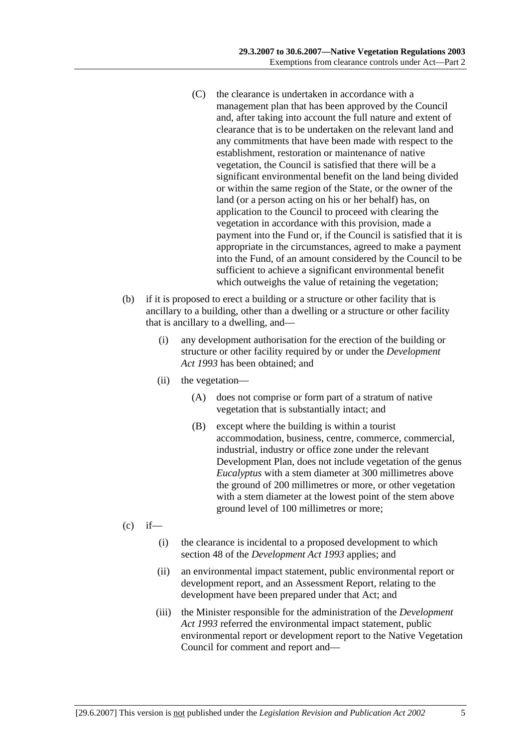- (C) the clearance is undertaken in accordance with a management plan that has been approved by the Council and, after taking into account the full nature and extent of clearance that is to be undertaken on the relevant land and any commitments that have been made with respect to the establishment, restoration or maintenance of native vegetation, the Council is satisfied that there will be a significant environmental benefit on the land being divided or within the same region of the State, or the owner of the land (or a person acting on his or her behalf) has, on application to the Council to proceed with clearing the vegetation in accordance with this provision, made a payment into the Fund or, if the Council is satisfied that it is appropriate in the circumstances, agreed to make a payment into the Fund, of an amount considered by the Council to be sufficient to achieve a significant environmental benefit which outweighs the value of retaining the vegetation;
- (b) if it is proposed to erect a building or a structure or other facility that is ancillary to a building, other than a dwelling or a structure or other facility that is ancillary to a dwelling, and—
	- (i) any development authorisation for the erection of the building or structure or other facility required by or under the *Development Act 1993* has been obtained; and
	- (ii) the vegetation—
		- (A) does not comprise or form part of a stratum of native vegetation that is substantially intact; and
		- (B) except where the building is within a tourist accommodation, business, centre, commerce, commercial, industrial, industry or office zone under the relevant Development Plan, does not include vegetation of the genus *Eucalyptus* with a stem diameter at 300 millimetres above the ground of 200 millimetres or more, or other vegetation with a stem diameter at the lowest point of the stem above ground level of 100 millimetres or more;
- $(c)$  if—
	- (i) the clearance is incidental to a proposed development to which section 48 of the *Development Act 1993* applies; and
	- (ii) an environmental impact statement, public environmental report or development report, and an Assessment Report, relating to the development have been prepared under that Act; and
	- (iii) the Minister responsible for the administration of the *Development Act 1993* referred the environmental impact statement, public environmental report or development report to the Native Vegetation Council for comment and report and—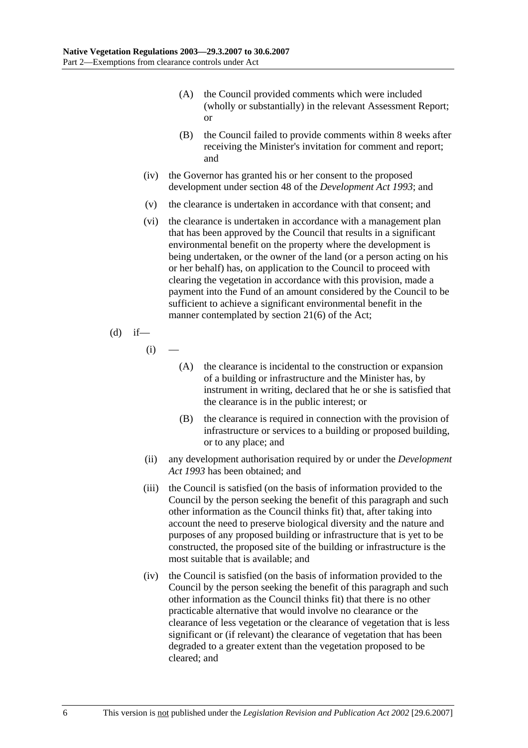- (A) the Council provided comments which were included (wholly or substantially) in the relevant Assessment Report; or
- (B) the Council failed to provide comments within 8 weeks after receiving the Minister's invitation for comment and report; and
- (iv) the Governor has granted his or her consent to the proposed development under section 48 of the *Development Act 1993*; and
- (v) the clearance is undertaken in accordance with that consent; and
- (vi) the clearance is undertaken in accordance with a management plan that has been approved by the Council that results in a significant environmental benefit on the property where the development is being undertaken, or the owner of the land (or a person acting on his or her behalf) has, on application to the Council to proceed with clearing the vegetation in accordance with this provision, made a payment into the Fund of an amount considered by the Council to be sufficient to achieve a significant environmental benefit in the manner contemplated by section 21(6) of the Act;

(d) if—

 $(i)$ 

- (A) the clearance is incidental to the construction or expansion of a building or infrastructure and the Minister has, by instrument in writing, declared that he or she is satisfied that the clearance is in the public interest; or
- (B) the clearance is required in connection with the provision of infrastructure or services to a building or proposed building, or to any place; and
- (ii) any development authorisation required by or under the *Development Act 1993* has been obtained; and
- (iii) the Council is satisfied (on the basis of information provided to the Council by the person seeking the benefit of this paragraph and such other information as the Council thinks fit) that, after taking into account the need to preserve biological diversity and the nature and purposes of any proposed building or infrastructure that is yet to be constructed, the proposed site of the building or infrastructure is the most suitable that is available; and
- (iv) the Council is satisfied (on the basis of information provided to the Council by the person seeking the benefit of this paragraph and such other information as the Council thinks fit) that there is no other practicable alternative that would involve no clearance or the clearance of less vegetation or the clearance of vegetation that is less significant or (if relevant) the clearance of vegetation that has been degraded to a greater extent than the vegetation proposed to be cleared; and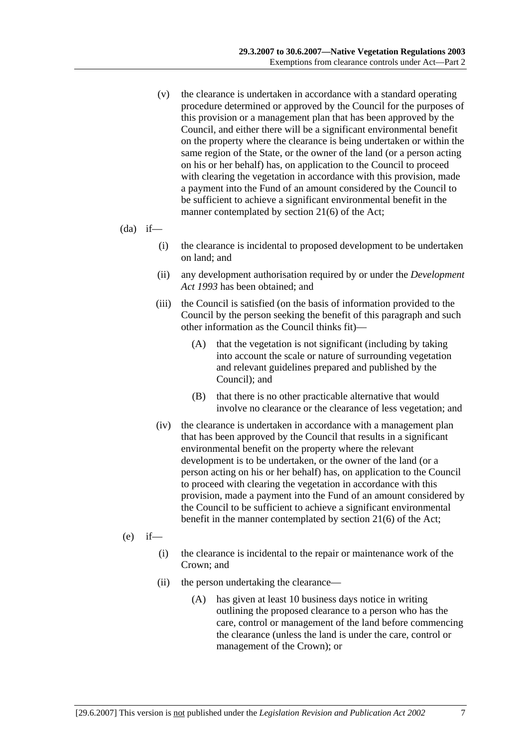- (v) the clearance is undertaken in accordance with a standard operating procedure determined or approved by the Council for the purposes of this provision or a management plan that has been approved by the Council, and either there will be a significant environmental benefit on the property where the clearance is being undertaken or within the same region of the State, or the owner of the land (or a person acting on his or her behalf) has, on application to the Council to proceed with clearing the vegetation in accordance with this provision, made a payment into the Fund of an amount considered by the Council to be sufficient to achieve a significant environmental benefit in the manner contemplated by section 21(6) of the Act;
- $(da)$  if—
	- (i) the clearance is incidental to proposed development to be undertaken on land; and
	- (ii) any development authorisation required by or under the *Development Act 1993* has been obtained; and
	- (iii) the Council is satisfied (on the basis of information provided to the Council by the person seeking the benefit of this paragraph and such other information as the Council thinks fit)—
		- (A) that the vegetation is not significant (including by taking into account the scale or nature of surrounding vegetation and relevant guidelines prepared and published by the Council); and
		- (B) that there is no other practicable alternative that would involve no clearance or the clearance of less vegetation; and
	- (iv) the clearance is undertaken in accordance with a management plan that has been approved by the Council that results in a significant environmental benefit on the property where the relevant development is to be undertaken, or the owner of the land (or a person acting on his or her behalf) has, on application to the Council to proceed with clearing the vegetation in accordance with this provision, made a payment into the Fund of an amount considered by the Council to be sufficient to achieve a significant environmental benefit in the manner contemplated by section 21(6) of the Act;
- $(e)$  if—
	- (i) the clearance is incidental to the repair or maintenance work of the Crown; and
	- (ii) the person undertaking the clearance—
		- (A) has given at least 10 business days notice in writing outlining the proposed clearance to a person who has the care, control or management of the land before commencing the clearance (unless the land is under the care, control or management of the Crown); or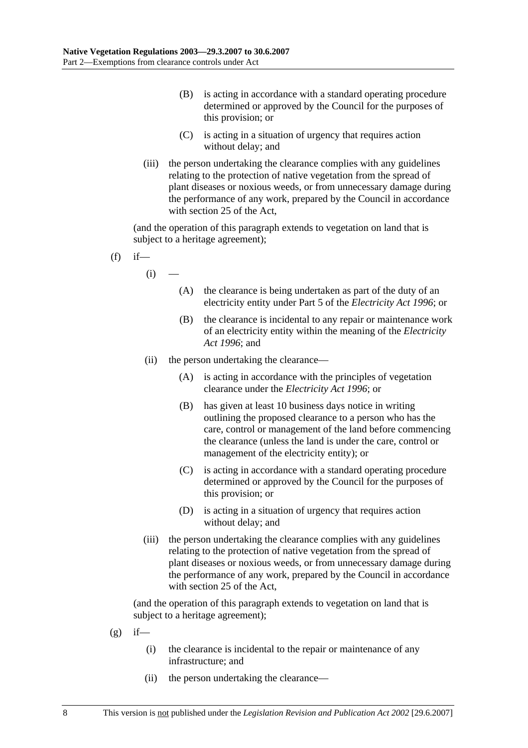- (B) is acting in accordance with a standard operating procedure determined or approved by the Council for the purposes of this provision; or
- (C) is acting in a situation of urgency that requires action without delay; and
- (iii) the person undertaking the clearance complies with any guidelines relating to the protection of native vegetation from the spread of plant diseases or noxious weeds, or from unnecessary damage during the performance of any work, prepared by the Council in accordance with section 25 of the Act,

(and the operation of this paragraph extends to vegetation on land that is subject to a heritage agreement);

- $(f)$  if
	- $(i)$
- (A) the clearance is being undertaken as part of the duty of an electricity entity under Part 5 of the *Electricity Act 1996*; or
- (B) the clearance is incidental to any repair or maintenance work of an electricity entity within the meaning of the *Electricity Act 1996*; and
- (ii) the person undertaking the clearance—
	- (A) is acting in accordance with the principles of vegetation clearance under the *Electricity Act 1996*; or
	- (B) has given at least 10 business days notice in writing outlining the proposed clearance to a person who has the care, control or management of the land before commencing the clearance (unless the land is under the care, control or management of the electricity entity); or
	- (C) is acting in accordance with a standard operating procedure determined or approved by the Council for the purposes of this provision; or
	- (D) is acting in a situation of urgency that requires action without delay; and
- (iii) the person undertaking the clearance complies with any guidelines relating to the protection of native vegetation from the spread of plant diseases or noxious weeds, or from unnecessary damage during the performance of any work, prepared by the Council in accordance with section 25 of the Act,

- $(g)$  if—
	- (i) the clearance is incidental to the repair or maintenance of any infrastructure; and
	- (ii) the person undertaking the clearance—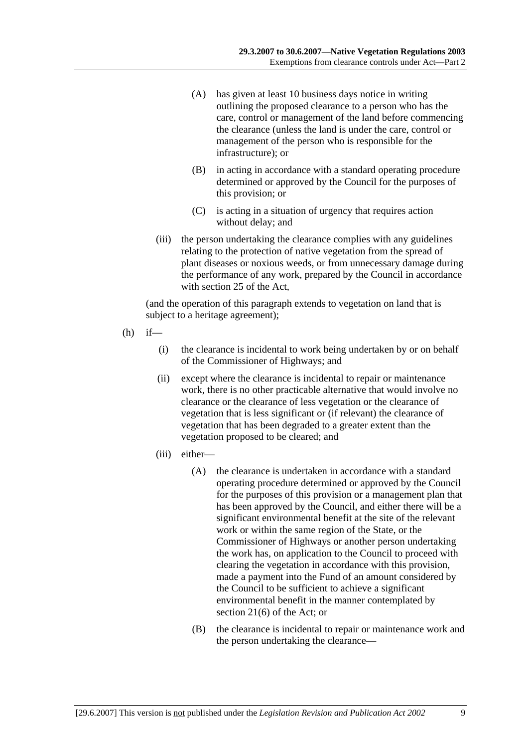- (A) has given at least 10 business days notice in writing outlining the proposed clearance to a person who has the care, control or management of the land before commencing the clearance (unless the land is under the care, control or management of the person who is responsible for the infrastructure); or
- (B) in acting in accordance with a standard operating procedure determined or approved by the Council for the purposes of this provision; or
- (C) is acting in a situation of urgency that requires action without delay; and
- (iii) the person undertaking the clearance complies with any guidelines relating to the protection of native vegetation from the spread of plant diseases or noxious weeds, or from unnecessary damage during the performance of any work, prepared by the Council in accordance with section 25 of the Act,

- $(h)$  if—
	- (i) the clearance is incidental to work being undertaken by or on behalf of the Commissioner of Highways; and
	- (ii) except where the clearance is incidental to repair or maintenance work, there is no other practicable alternative that would involve no clearance or the clearance of less vegetation or the clearance of vegetation that is less significant or (if relevant) the clearance of vegetation that has been degraded to a greater extent than the vegetation proposed to be cleared; and
	- (iii) either—
		- (A) the clearance is undertaken in accordance with a standard operating procedure determined or approved by the Council for the purposes of this provision or a management plan that has been approved by the Council, and either there will be a significant environmental benefit at the site of the relevant work or within the same region of the State, or the Commissioner of Highways or another person undertaking the work has, on application to the Council to proceed with clearing the vegetation in accordance with this provision, made a payment into the Fund of an amount considered by the Council to be sufficient to achieve a significant environmental benefit in the manner contemplated by section 21(6) of the Act; or
		- (B) the clearance is incidental to repair or maintenance work and the person undertaking the clearance—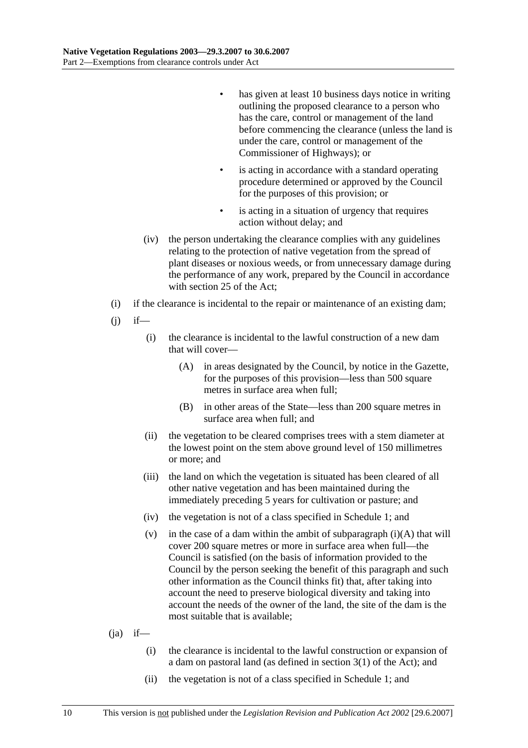- has given at least 10 business days notice in writing outlining the proposed clearance to a person who has the care, control or management of the land before commencing the clearance (unless the land is under the care, control or management of the Commissioner of Highways); or
- is acting in accordance with a standard operating procedure determined or approved by the Council for the purposes of this provision; or
- is acting in a situation of urgency that requires action without delay; and
- (iv) the person undertaking the clearance complies with any guidelines relating to the protection of native vegetation from the spread of plant diseases or noxious weeds, or from unnecessary damage during the performance of any work, prepared by the Council in accordance with section 25 of the Act;
- (i) if the clearance is incidental to the repair or maintenance of an existing dam;
- $(i)$  if—
	- (i) the clearance is incidental to the lawful construction of a new dam that will cover—
		- (A) in areas designated by the Council, by notice in the Gazette, for the purposes of this provision—less than 500 square metres in surface area when full;
		- (B) in other areas of the State—less than 200 square metres in surface area when full; and
	- (ii) the vegetation to be cleared comprises trees with a stem diameter at the lowest point on the stem above ground level of 150 millimetres or more; and
	- (iii) the land on which the vegetation is situated has been cleared of all other native vegetation and has been maintained during the immediately preceding 5 years for cultivation or pasture; and
	- (iv) the vegetation is not of a class specified in Schedule 1; and
	- (v) in the case of a dam within the ambit of subparagraph  $(i)(A)$  that will cover 200 square metres or more in surface area when full—the Council is satisfied (on the basis of information provided to the Council by the person seeking the benefit of this paragraph and such other information as the Council thinks fit) that, after taking into account the need to preserve biological diversity and taking into account the needs of the owner of the land, the site of the dam is the most suitable that is available;

### $(i)$  if—

- (i) the clearance is incidental to the lawful construction or expansion of a dam on pastoral land (as defined in section 3(1) of the Act); and
- (ii) the vegetation is not of a class specified in Schedule 1; and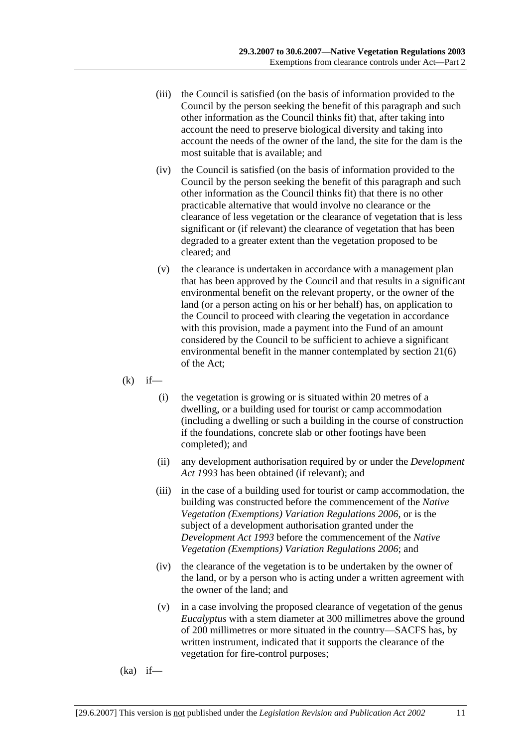- (iii) the Council is satisfied (on the basis of information provided to the Council by the person seeking the benefit of this paragraph and such other information as the Council thinks fit) that, after taking into account the need to preserve biological diversity and taking into account the needs of the owner of the land, the site for the dam is the most suitable that is available; and
- (iv) the Council is satisfied (on the basis of information provided to the Council by the person seeking the benefit of this paragraph and such other information as the Council thinks fit) that there is no other practicable alternative that would involve no clearance or the clearance of less vegetation or the clearance of vegetation that is less significant or (if relevant) the clearance of vegetation that has been degraded to a greater extent than the vegetation proposed to be cleared; and
- (v) the clearance is undertaken in accordance with a management plan that has been approved by the Council and that results in a significant environmental benefit on the relevant property, or the owner of the land (or a person acting on his or her behalf) has, on application to the Council to proceed with clearing the vegetation in accordance with this provision, made a payment into the Fund of an amount considered by the Council to be sufficient to achieve a significant environmental benefit in the manner contemplated by section 21(6) of the Act;
- $(k)$  if—
	- (i) the vegetation is growing or is situated within 20 metres of a dwelling, or a building used for tourist or camp accommodation (including a dwelling or such a building in the course of construction if the foundations, concrete slab or other footings have been completed); and
	- (ii) any development authorisation required by or under the *Development Act 1993* has been obtained (if relevant); and
	- (iii) in the case of a building used for tourist or camp accommodation, the building was constructed before the commencement of the *Native Vegetation (Exemptions) Variation Regulations 2006*, or is the subject of a development authorisation granted under the *Development Act 1993* before the commencement of the *Native Vegetation (Exemptions) Variation Regulations 2006*; and
	- (iv) the clearance of the vegetation is to be undertaken by the owner of the land, or by a person who is acting under a written agreement with the owner of the land; and
	- (v) in a case involving the proposed clearance of vegetation of the genus *Eucalyptus* with a stem diameter at 300 millimetres above the ground of 200 millimetres or more situated in the country—SACFS has, by written instrument, indicated that it supports the clearance of the vegetation for fire-control purposes;
- $(ka)$  if—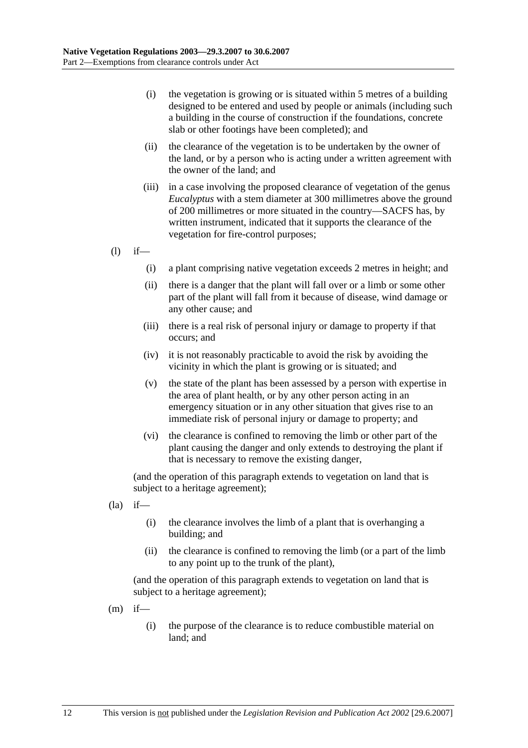- (i) the vegetation is growing or is situated within 5 metres of a building designed to be entered and used by people or animals (including such a building in the course of construction if the foundations, concrete slab or other footings have been completed); and
- (ii) the clearance of the vegetation is to be undertaken by the owner of the land, or by a person who is acting under a written agreement with the owner of the land; and
- (iii) in a case involving the proposed clearance of vegetation of the genus *Eucalyptus* with a stem diameter at 300 millimetres above the ground of 200 millimetres or more situated in the country—SACFS has, by written instrument, indicated that it supports the clearance of the vegetation for fire-control purposes;
- $(l)$  if—
	- (i) a plant comprising native vegetation exceeds 2 metres in height; and
	- (ii) there is a danger that the plant will fall over or a limb or some other part of the plant will fall from it because of disease, wind damage or any other cause; and
	- (iii) there is a real risk of personal injury or damage to property if that occurs; and
	- (iv) it is not reasonably practicable to avoid the risk by avoiding the vicinity in which the plant is growing or is situated; and
	- (v) the state of the plant has been assessed by a person with expertise in the area of plant health, or by any other person acting in an emergency situation or in any other situation that gives rise to an immediate risk of personal injury or damage to property; and
	- (vi) the clearance is confined to removing the limb or other part of the plant causing the danger and only extends to destroying the plant if that is necessary to remove the existing danger,

(and the operation of this paragraph extends to vegetation on land that is subject to a heritage agreement);

- $(la)$  if—
	- (i) the clearance involves the limb of a plant that is overhanging a building; and
	- (ii) the clearance is confined to removing the limb (or a part of the limb to any point up to the trunk of the plant),

- $(m)$  if—
	- (i) the purpose of the clearance is to reduce combustible material on land; and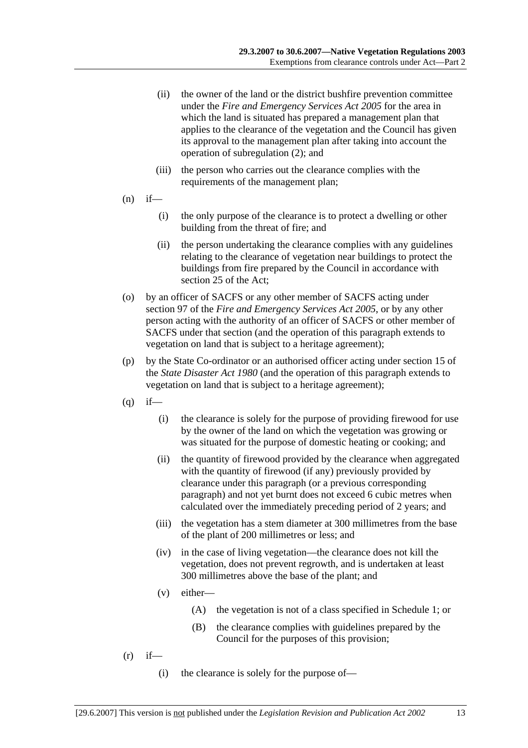- (ii) the owner of the land or the district bushfire prevention committee under the *Fire and Emergency Services Act 2005* for the area in which the land is situated has prepared a management plan that applies to the clearance of the vegetation and the Council has given its approval to the management plan after taking into account the operation of subregulation (2); and
- (iii) the person who carries out the clearance complies with the requirements of the management plan;
- $(n)$  if—
	- (i) the only purpose of the clearance is to protect a dwelling or other building from the threat of fire; and
	- (ii) the person undertaking the clearance complies with any guidelines relating to the clearance of vegetation near buildings to protect the buildings from fire prepared by the Council in accordance with section 25 of the Act;
- (o) by an officer of SACFS or any other member of SACFS acting under section 97 of the *Fire and Emergency Services Act 2005*, or by any other person acting with the authority of an officer of SACFS or other member of SACFS under that section (and the operation of this paragraph extends to vegetation on land that is subject to a heritage agreement);
- (p) by the State Co-ordinator or an authorised officer acting under section 15 of the *State Disaster Act 1980* (and the operation of this paragraph extends to vegetation on land that is subject to a heritage agreement);
- $(q)$  if—
	- (i) the clearance is solely for the purpose of providing firewood for use by the owner of the land on which the vegetation was growing or was situated for the purpose of domestic heating or cooking; and
	- (ii) the quantity of firewood provided by the clearance when aggregated with the quantity of firewood (if any) previously provided by clearance under this paragraph (or a previous corresponding paragraph) and not yet burnt does not exceed 6 cubic metres when calculated over the immediately preceding period of 2 years; and
	- (iii) the vegetation has a stem diameter at 300 millimetres from the base of the plant of 200 millimetres or less; and
	- (iv) in the case of living vegetation—the clearance does not kill the vegetation, does not prevent regrowth, and is undertaken at least 300 millimetres above the base of the plant; and
	- (v) either—
		- (A) the vegetation is not of a class specified in Schedule 1; or
		- (B) the clearance complies with guidelines prepared by the Council for the purposes of this provision;
- $(r)$  if—
	- (i) the clearance is solely for the purpose of—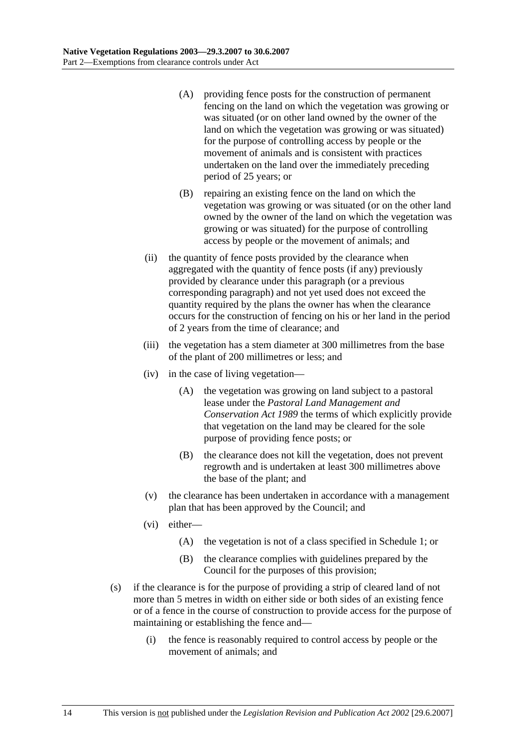- (A) providing fence posts for the construction of permanent fencing on the land on which the vegetation was growing or was situated (or on other land owned by the owner of the land on which the vegetation was growing or was situated) for the purpose of controlling access by people or the movement of animals and is consistent with practices undertaken on the land over the immediately preceding period of 25 years; or
- (B) repairing an existing fence on the land on which the vegetation was growing or was situated (or on the other land owned by the owner of the land on which the vegetation was growing or was situated) for the purpose of controlling access by people or the movement of animals; and
- (ii) the quantity of fence posts provided by the clearance when aggregated with the quantity of fence posts (if any) previously provided by clearance under this paragraph (or a previous corresponding paragraph) and not yet used does not exceed the quantity required by the plans the owner has when the clearance occurs for the construction of fencing on his or her land in the period of 2 years from the time of clearance; and
- (iii) the vegetation has a stem diameter at 300 millimetres from the base of the plant of 200 millimetres or less; and
- (iv) in the case of living vegetation—
	- (A) the vegetation was growing on land subject to a pastoral lease under the *Pastoral Land Management and Conservation Act 1989* the terms of which explicitly provide that vegetation on the land may be cleared for the sole purpose of providing fence posts; or
	- (B) the clearance does not kill the vegetation, does not prevent regrowth and is undertaken at least 300 millimetres above the base of the plant; and
- (v) the clearance has been undertaken in accordance with a management plan that has been approved by the Council; and
- (vi) either—
	- (A) the vegetation is not of a class specified in Schedule 1; or
	- (B) the clearance complies with guidelines prepared by the Council for the purposes of this provision;
- (s) if the clearance is for the purpose of providing a strip of cleared land of not more than 5 metres in width on either side or both sides of an existing fence or of a fence in the course of construction to provide access for the purpose of maintaining or establishing the fence and—
	- (i) the fence is reasonably required to control access by people or the movement of animals; and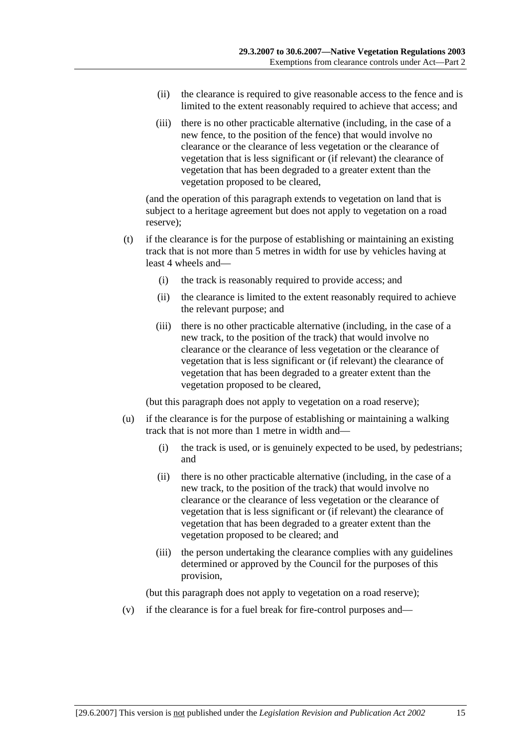- (ii) the clearance is required to give reasonable access to the fence and is limited to the extent reasonably required to achieve that access; and
- (iii) there is no other practicable alternative (including, in the case of a new fence, to the position of the fence) that would involve no clearance or the clearance of less vegetation or the clearance of vegetation that is less significant or (if relevant) the clearance of vegetation that has been degraded to a greater extent than the vegetation proposed to be cleared,

(and the operation of this paragraph extends to vegetation on land that is subject to a heritage agreement but does not apply to vegetation on a road reserve);

- (t) if the clearance is for the purpose of establishing or maintaining an existing track that is not more than 5 metres in width for use by vehicles having at least 4 wheels and—
	- (i) the track is reasonably required to provide access; and
	- (ii) the clearance is limited to the extent reasonably required to achieve the relevant purpose; and
	- (iii) there is no other practicable alternative (including, in the case of a new track, to the position of the track) that would involve no clearance or the clearance of less vegetation or the clearance of vegetation that is less significant or (if relevant) the clearance of vegetation that has been degraded to a greater extent than the vegetation proposed to be cleared,

(but this paragraph does not apply to vegetation on a road reserve);

- (u) if the clearance is for the purpose of establishing or maintaining a walking track that is not more than 1 metre in width and—
	- (i) the track is used, or is genuinely expected to be used, by pedestrians; and
	- (ii) there is no other practicable alternative (including, in the case of a new track, to the position of the track) that would involve no clearance or the clearance of less vegetation or the clearance of vegetation that is less significant or (if relevant) the clearance of vegetation that has been degraded to a greater extent than the vegetation proposed to be cleared; and
	- (iii) the person undertaking the clearance complies with any guidelines determined or approved by the Council for the purposes of this provision,

(but this paragraph does not apply to vegetation on a road reserve);

(v) if the clearance is for a fuel break for fire-control purposes and—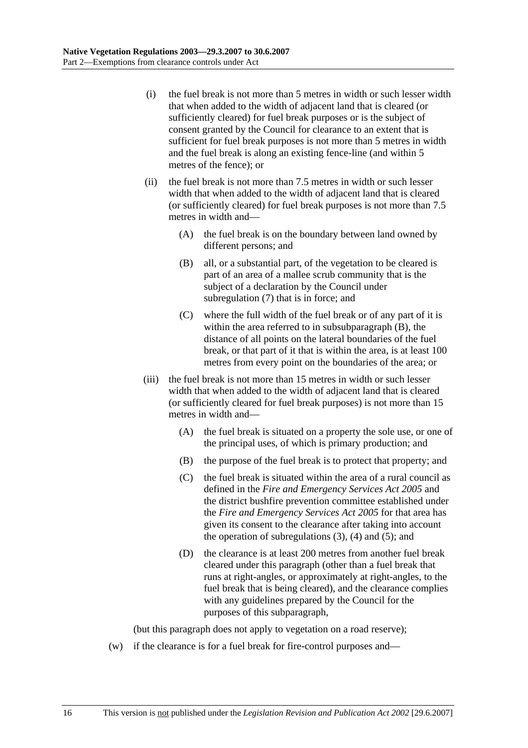- (i) the fuel break is not more than 5 metres in width or such lesser width that when added to the width of adjacent land that is cleared (or sufficiently cleared) for fuel break purposes or is the subject of consent granted by the Council for clearance to an extent that is sufficient for fuel break purposes is not more than 5 metres in width and the fuel break is along an existing fence-line (and within 5 metres of the fence); or
- (ii) the fuel break is not more than 7.5 metres in width or such lesser width that when added to the width of adjacent land that is cleared (or sufficiently cleared) for fuel break purposes is not more than 7.5 metres in width and—
	- (A) the fuel break is on the boundary between land owned by different persons; and
	- (B) all, or a substantial part, of the vegetation to be cleared is part of an area of a mallee scrub community that is the subject of a declaration by the Council under subregulation (7) that is in force; and
	- (C) where the full width of the fuel break or of any part of it is within the area referred to in subsubparagraph (B), the distance of all points on the lateral boundaries of the fuel break, or that part of it that is within the area, is at least 100 metres from every point on the boundaries of the area; or
- (iii) the fuel break is not more than 15 metres in width or such lesser width that when added to the width of adjacent land that is cleared (or sufficiently cleared for fuel break purposes) is not more than 15 metres in width and—
	- (A) the fuel break is situated on a property the sole use, or one of the principal uses, of which is primary production; and
	- (B) the purpose of the fuel break is to protect that property; and
	- (C) the fuel break is situated within the area of a rural council as defined in the *Fire and Emergency Services Act 2005* and the district bushfire prevention committee established under the *Fire and Emergency Services Act 2005* for that area has given its consent to the clearance after taking into account the operation of subregulations  $(3)$ ,  $(4)$  and  $(5)$ ; and
	- (D) the clearance is at least 200 metres from another fuel break cleared under this paragraph (other than a fuel break that runs at right-angles, or approximately at right-angles, to the fuel break that is being cleared), and the clearance complies with any guidelines prepared by the Council for the purposes of this subparagraph,

(but this paragraph does not apply to vegetation on a road reserve);

(w) if the clearance is for a fuel break for fire-control purposes and—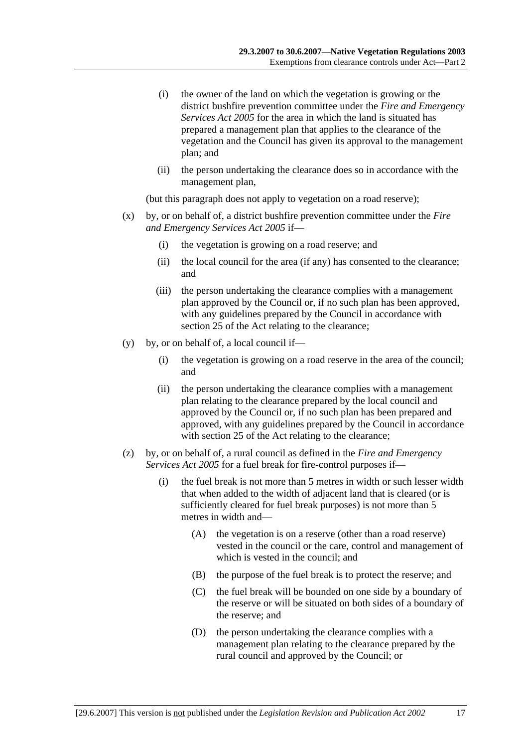- (i) the owner of the land on which the vegetation is growing or the district bushfire prevention committee under the *Fire and Emergency Services Act 2005* for the area in which the land is situated has prepared a management plan that applies to the clearance of the vegetation and the Council has given its approval to the management plan; and
- (ii) the person undertaking the clearance does so in accordance with the management plan,

(but this paragraph does not apply to vegetation on a road reserve);

- (x) by, or on behalf of, a district bushfire prevention committee under the *Fire and Emergency Services Act 2005* if—
	- (i) the vegetation is growing on a road reserve; and
	- (ii) the local council for the area (if any) has consented to the clearance; and
	- (iii) the person undertaking the clearance complies with a management plan approved by the Council or, if no such plan has been approved, with any guidelines prepared by the Council in accordance with section 25 of the Act relating to the clearance:
- (y) by, or on behalf of, a local council if—
	- (i) the vegetation is growing on a road reserve in the area of the council; and
	- (ii) the person undertaking the clearance complies with a management plan relating to the clearance prepared by the local council and approved by the Council or, if no such plan has been prepared and approved, with any guidelines prepared by the Council in accordance with section 25 of the Act relating to the clearance;
- (z) by, or on behalf of, a rural council as defined in the *Fire and Emergency Services Act 2005* for a fuel break for fire-control purposes if—
	- (i) the fuel break is not more than 5 metres in width or such lesser width that when added to the width of adjacent land that is cleared (or is sufficiently cleared for fuel break purposes) is not more than 5 metres in width and—
		- (A) the vegetation is on a reserve (other than a road reserve) vested in the council or the care, control and management of which is vested in the council; and
		- (B) the purpose of the fuel break is to protect the reserve; and
		- (C) the fuel break will be bounded on one side by a boundary of the reserve or will be situated on both sides of a boundary of the reserve; and
		- (D) the person undertaking the clearance complies with a management plan relating to the clearance prepared by the rural council and approved by the Council; or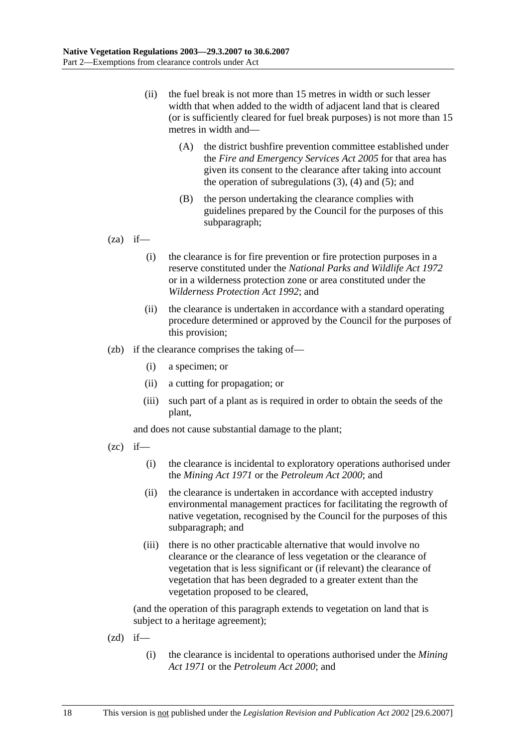- (ii) the fuel break is not more than 15 metres in width or such lesser width that when added to the width of adjacent land that is cleared (or is sufficiently cleared for fuel break purposes) is not more than 15 metres in width and—
	- (A) the district bushfire prevention committee established under the *Fire and Emergency Services Act 2005* for that area has given its consent to the clearance after taking into account the operation of subregulations  $(3)$ ,  $(4)$  and  $(5)$ ; and
	- (B) the person undertaking the clearance complies with guidelines prepared by the Council for the purposes of this subparagraph;

 $(za)$  if—

- (i) the clearance is for fire prevention or fire protection purposes in a reserve constituted under the *National Parks and Wildlife Act 1972* or in a wilderness protection zone or area constituted under the *Wilderness Protection Act 1992*; and
- (ii) the clearance is undertaken in accordance with a standard operating procedure determined or approved by the Council for the purposes of this provision;
- (zb) if the clearance comprises the taking of—
	- (i) a specimen; or
	- (ii) a cutting for propagation; or
	- (iii) such part of a plant as is required in order to obtain the seeds of the plant,

and does not cause substantial damage to the plant;

- $(zc)$  if—
	- (i) the clearance is incidental to exploratory operations authorised under the *Mining Act 1971* or the *Petroleum Act 2000*; and
	- (ii) the clearance is undertaken in accordance with accepted industry environmental management practices for facilitating the regrowth of native vegetation, recognised by the Council for the purposes of this subparagraph; and
	- (iii) there is no other practicable alternative that would involve no clearance or the clearance of less vegetation or the clearance of vegetation that is less significant or (if relevant) the clearance of vegetation that has been degraded to a greater extent than the vegetation proposed to be cleared,

- $(zd)$  if—
	- (i) the clearance is incidental to operations authorised under the *Mining Act 1971* or the *Petroleum Act 2000*; and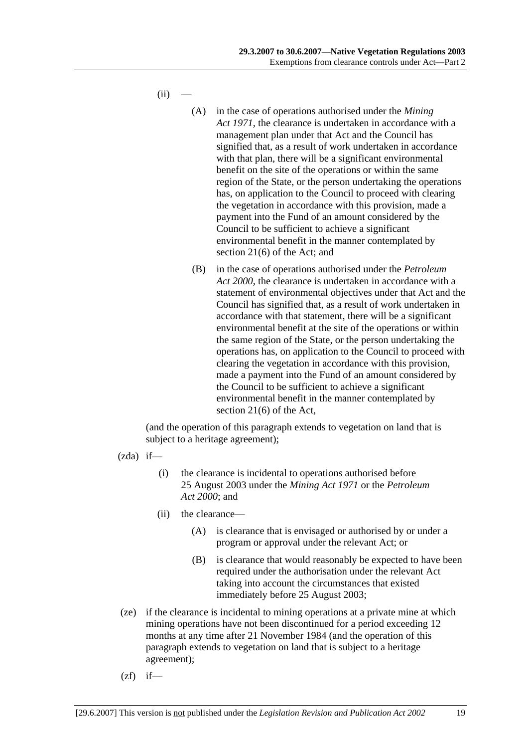$(ii)$ 

- (A) in the case of operations authorised under the *Mining Act 1971*, the clearance is undertaken in accordance with a management plan under that Act and the Council has signified that, as a result of work undertaken in accordance with that plan, there will be a significant environmental benefit on the site of the operations or within the same region of the State, or the person undertaking the operations has, on application to the Council to proceed with clearing the vegetation in accordance with this provision, made a payment into the Fund of an amount considered by the Council to be sufficient to achieve a significant environmental benefit in the manner contemplated by section 21(6) of the Act; and
- (B) in the case of operations authorised under the *Petroleum Act 2000*, the clearance is undertaken in accordance with a statement of environmental objectives under that Act and the Council has signified that, as a result of work undertaken in accordance with that statement, there will be a significant environmental benefit at the site of the operations or within the same region of the State, or the person undertaking the operations has, on application to the Council to proceed with clearing the vegetation in accordance with this provision, made a payment into the Fund of an amount considered by the Council to be sufficient to achieve a significant environmental benefit in the manner contemplated by section 21(6) of the Act,

- $(zda)$  if—
	- (i) the clearance is incidental to operations authorised before 25 August 2003 under the *Mining Act 1971* or the *Petroleum Act 2000*; and
	- (ii) the clearance—
		- (A) is clearance that is envisaged or authorised by or under a program or approval under the relevant Act; or
		- (B) is clearance that would reasonably be expected to have been required under the authorisation under the relevant Act taking into account the circumstances that existed immediately before 25 August 2003;
- (ze) if the clearance is incidental to mining operations at a private mine at which mining operations have not been discontinued for a period exceeding 12 months at any time after 21 November 1984 (and the operation of this paragraph extends to vegetation on land that is subject to a heritage agreement);
- $(zf)$  if—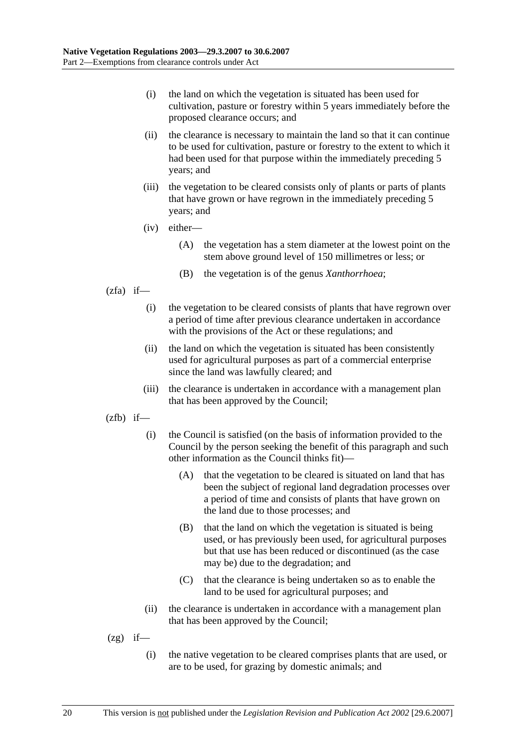- (i) the land on which the vegetation is situated has been used for cultivation, pasture or forestry within 5 years immediately before the proposed clearance occurs; and
- (ii) the clearance is necessary to maintain the land so that it can continue to be used for cultivation, pasture or forestry to the extent to which it had been used for that purpose within the immediately preceding 5 years; and
- (iii) the vegetation to be cleared consists only of plants or parts of plants that have grown or have regrown in the immediately preceding 5 years; and
- (iv) either—
	- (A) the vegetation has a stem diameter at the lowest point on the stem above ground level of 150 millimetres or less; or
	- (B) the vegetation is of the genus *Xanthorrhoea*;
- $(zfa)$  if—
	- (i) the vegetation to be cleared consists of plants that have regrown over a period of time after previous clearance undertaken in accordance with the provisions of the Act or these regulations; and
	- (ii) the land on which the vegetation is situated has been consistently used for agricultural purposes as part of a commercial enterprise since the land was lawfully cleared; and
	- (iii) the clearance is undertaken in accordance with a management plan that has been approved by the Council;
- $(zfb)$  if—
	- (i) the Council is satisfied (on the basis of information provided to the Council by the person seeking the benefit of this paragraph and such other information as the Council thinks fit)—
		- (A) that the vegetation to be cleared is situated on land that has been the subject of regional land degradation processes over a period of time and consists of plants that have grown on the land due to those processes; and
		- (B) that the land on which the vegetation is situated is being used, or has previously been used, for agricultural purposes but that use has been reduced or discontinued (as the case may be) due to the degradation; and
		- (C) that the clearance is being undertaken so as to enable the land to be used for agricultural purposes; and
	- (ii) the clearance is undertaken in accordance with a management plan that has been approved by the Council;
- $(2g)$  if—
	- (i) the native vegetation to be cleared comprises plants that are used, or are to be used, for grazing by domestic animals; and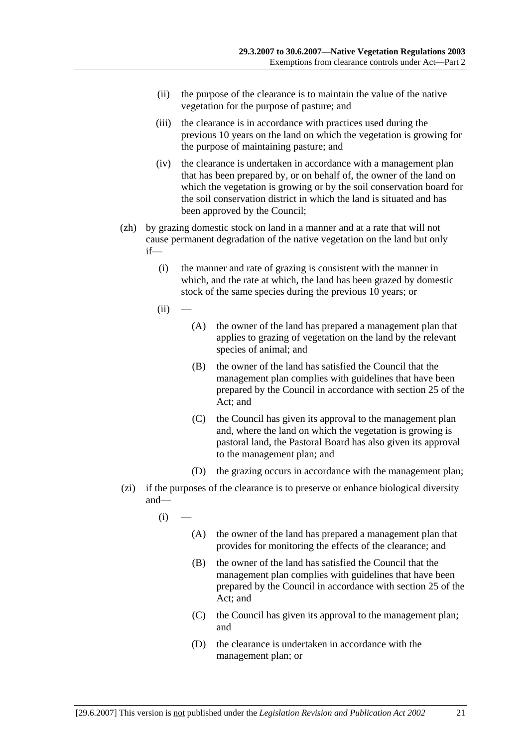- (ii) the purpose of the clearance is to maintain the value of the native vegetation for the purpose of pasture; and
- (iii) the clearance is in accordance with practices used during the previous 10 years on the land on which the vegetation is growing for the purpose of maintaining pasture; and
- (iv) the clearance is undertaken in accordance with a management plan that has been prepared by, or on behalf of, the owner of the land on which the vegetation is growing or by the soil conservation board for the soil conservation district in which the land is situated and has been approved by the Council;
- (zh) by grazing domestic stock on land in a manner and at a rate that will not cause permanent degradation of the native vegetation on the land but only if—
	- (i) the manner and rate of grazing is consistent with the manner in which, and the rate at which, the land has been grazed by domestic stock of the same species during the previous 10 years; or
	- $(ii)$
- (A) the owner of the land has prepared a management plan that applies to grazing of vegetation on the land by the relevant species of animal; and
- (B) the owner of the land has satisfied the Council that the management plan complies with guidelines that have been prepared by the Council in accordance with section 25 of the Act; and
- (C) the Council has given its approval to the management plan and, where the land on which the vegetation is growing is pastoral land, the Pastoral Board has also given its approval to the management plan; and
- (D) the grazing occurs in accordance with the management plan;
- (zi) if the purposes of the clearance is to preserve or enhance biological diversity and—
	- $(i)$ 
		- (A) the owner of the land has prepared a management plan that provides for monitoring the effects of the clearance; and
		- (B) the owner of the land has satisfied the Council that the management plan complies with guidelines that have been prepared by the Council in accordance with section 25 of the Act; and
		- (C) the Council has given its approval to the management plan; and
		- (D) the clearance is undertaken in accordance with the management plan; or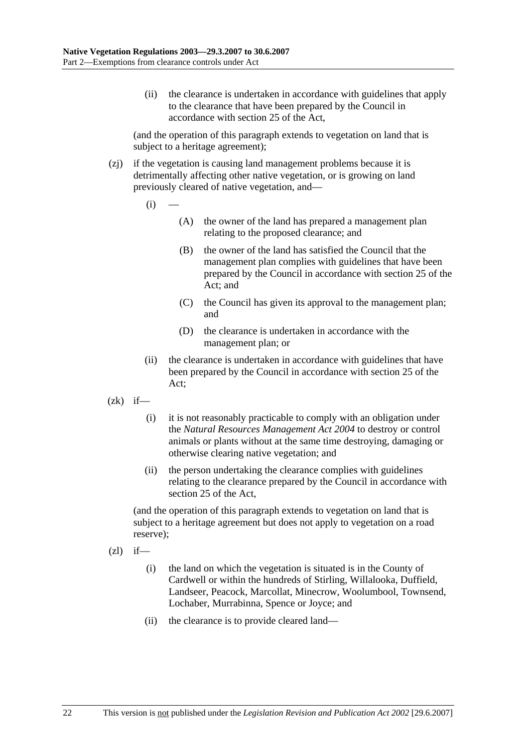(ii) the clearance is undertaken in accordance with guidelines that apply to the clearance that have been prepared by the Council in accordance with section 25 of the Act,

(and the operation of this paragraph extends to vegetation on land that is subject to a heritage agreement);

- (zj) if the vegetation is causing land management problems because it is detrimentally affecting other native vegetation, or is growing on land previously cleared of native vegetation, and—
	- $(i)$ 
		- (A) the owner of the land has prepared a management plan relating to the proposed clearance; and
		- (B) the owner of the land has satisfied the Council that the management plan complies with guidelines that have been prepared by the Council in accordance with section 25 of the Act; and
		- (C) the Council has given its approval to the management plan; and
		- (D) the clearance is undertaken in accordance with the management plan; or
	- (ii) the clearance is undertaken in accordance with guidelines that have been prepared by the Council in accordance with section 25 of the Act;
- $(zk)$  if—
	- (i) it is not reasonably practicable to comply with an obligation under the *Natural Resources Management Act 2004* to destroy or control animals or plants without at the same time destroying, damaging or otherwise clearing native vegetation; and
	- (ii) the person undertaking the clearance complies with guidelines relating to the clearance prepared by the Council in accordance with section 25 of the Act,

(and the operation of this paragraph extends to vegetation on land that is subject to a heritage agreement but does not apply to vegetation on a road reserve);

- $(zl)$  if—
	- (i) the land on which the vegetation is situated is in the County of Cardwell or within the hundreds of Stirling, Willalooka, Duffield, Landseer, Peacock, Marcollat, Minecrow, Woolumbool, Townsend, Lochaber, Murrabinna, Spence or Joyce; and
	- (ii) the clearance is to provide cleared land—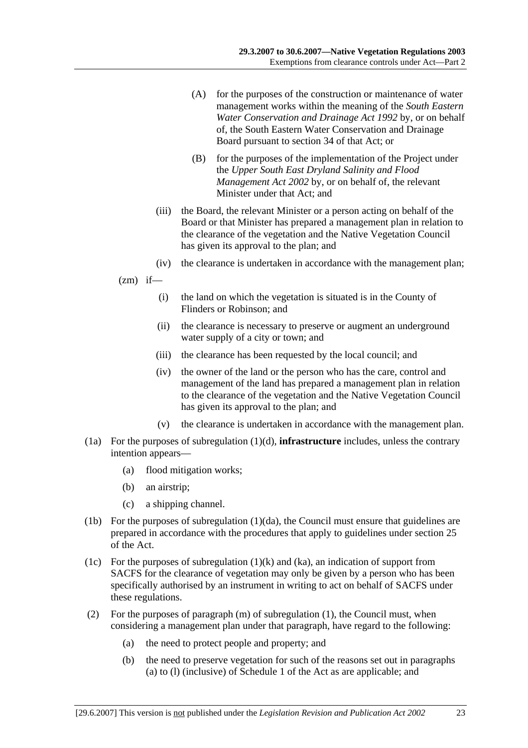- (A) for the purposes of the construction or maintenance of water management works within the meaning of the *South Eastern Water Conservation and Drainage Act 1992* by, or on behalf of, the South Eastern Water Conservation and Drainage Board pursuant to section 34 of that Act; or
- (B) for the purposes of the implementation of the Project under the *Upper South East Dryland Salinity and Flood Management Act 2002* by, or on behalf of, the relevant Minister under that Act; and
- (iii) the Board, the relevant Minister or a person acting on behalf of the Board or that Minister has prepared a management plan in relation to the clearance of the vegetation and the Native Vegetation Council has given its approval to the plan; and
- (iv) the clearance is undertaken in accordance with the management plan;
- $(zm)$  if—
	- (i) the land on which the vegetation is situated is in the County of Flinders or Robinson; and
	- (ii) the clearance is necessary to preserve or augment an underground water supply of a city or town; and
	- (iii) the clearance has been requested by the local council; and
	- (iv) the owner of the land or the person who has the care, control and management of the land has prepared a management plan in relation to the clearance of the vegetation and the Native Vegetation Council has given its approval to the plan; and
	- (v) the clearance is undertaken in accordance with the management plan.
- (1a) For the purposes of subregulation (1)(d), **infrastructure** includes, unless the contrary intention appears—
	- (a) flood mitigation works;
	- (b) an airstrip;
	- (c) a shipping channel.
- (1b) For the purposes of subregulation (1)(da), the Council must ensure that guidelines are prepared in accordance with the procedures that apply to guidelines under section 25 of the Act.
- (1c) For the purposes of subregulation  $(1)(k)$  and  $(ka)$ , an indication of support from SACFS for the clearance of vegetation may only be given by a person who has been specifically authorised by an instrument in writing to act on behalf of SACFS under these regulations.
- (2) For the purposes of paragraph (m) of subregulation (1), the Council must, when considering a management plan under that paragraph, have regard to the following:
	- (a) the need to protect people and property; and
	- (b) the need to preserve vegetation for such of the reasons set out in paragraphs (a) to (l) (inclusive) of Schedule 1 of the Act as are applicable; and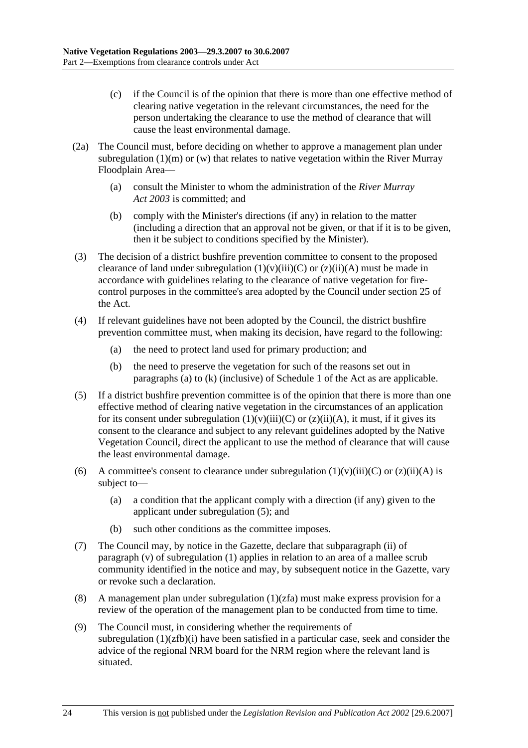- (c) if the Council is of the opinion that there is more than one effective method of clearing native vegetation in the relevant circumstances, the need for the person undertaking the clearance to use the method of clearance that will cause the least environmental damage.
- (2a) The Council must, before deciding on whether to approve a management plan under subregulation  $(1)(m)$  or  $(w)$  that relates to native vegetation within the River Murray Floodplain Area—
	- (a) consult the Minister to whom the administration of the *River Murray Act 2003* is committed; and
	- (b) comply with the Minister's directions (if any) in relation to the matter (including a direction that an approval not be given, or that if it is to be given, then it be subject to conditions specified by the Minister).
- (3) The decision of a district bushfire prevention committee to consent to the proposed clearance of land under subregulation  $(1)(v)(iii)(C)$  or  $(z)(ii)(A)$  must be made in accordance with guidelines relating to the clearance of native vegetation for firecontrol purposes in the committee's area adopted by the Council under section 25 of the Act.
- (4) If relevant guidelines have not been adopted by the Council, the district bushfire prevention committee must, when making its decision, have regard to the following:
	- (a) the need to protect land used for primary production; and
	- (b) the need to preserve the vegetation for such of the reasons set out in paragraphs (a) to (k) (inclusive) of Schedule 1 of the Act as are applicable.
- (5) If a district bushfire prevention committee is of the opinion that there is more than one effective method of clearing native vegetation in the circumstances of an application for its consent under subregulation  $(1)(v)(iii)(C)$  or  $(z)(ii)(A)$ , it must, if it gives its consent to the clearance and subject to any relevant guidelines adopted by the Native Vegetation Council, direct the applicant to use the method of clearance that will cause the least environmental damage.
- (6) A committee's consent to clearance under subregulation  $(1)(v)(iii)(C)$  or  $(z)(ii)(A)$  is subject to—
	- (a) a condition that the applicant comply with a direction (if any) given to the applicant under subregulation (5); and
	- (b) such other conditions as the committee imposes.
- (7) The Council may, by notice in the Gazette, declare that subparagraph (ii) of paragraph (v) of subregulation (1) applies in relation to an area of a mallee scrub community identified in the notice and may, by subsequent notice in the Gazette, vary or revoke such a declaration.
- (8) A management plan under subregulation  $(1)(zfa)$  must make express provision for a review of the operation of the management plan to be conducted from time to time.
- (9) The Council must, in considering whether the requirements of subregulation (1)(zfb)(i) have been satisfied in a particular case, seek and consider the advice of the regional NRM board for the NRM region where the relevant land is situated.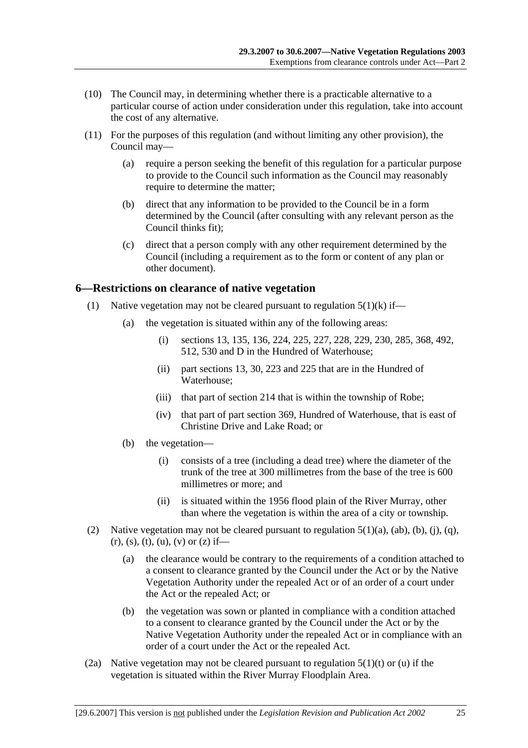- (10) The Council may, in determining whether there is a practicable alternative to a particular course of action under consideration under this regulation, take into account the cost of any alternative.
- (11) For the purposes of this regulation (and without limiting any other provision), the Council may—
	- (a) require a person seeking the benefit of this regulation for a particular purpose to provide to the Council such information as the Council may reasonably require to determine the matter;
	- (b) direct that any information to be provided to the Council be in a form determined by the Council (after consulting with any relevant person as the Council thinks fit);
	- (c) direct that a person comply with any other requirement determined by the Council (including a requirement as to the form or content of any plan or other document).

### **6—Restrictions on clearance of native vegetation**

- (1) Native vegetation may not be cleared pursuant to regulation  $5(1)(k)$  if—
	- (a) the vegetation is situated within any of the following areas:
		- (i) sections 13, 135, 136, 224, 225, 227, 228, 229, 230, 285, 368, 492, 512, 530 and D in the Hundred of Waterhouse;
		- (ii) part sections 13, 30, 223 and 225 that are in the Hundred of Waterhouse;
		- (iii) that part of section 214 that is within the township of Robe;
		- (iv) that part of part section 369, Hundred of Waterhouse, that is east of Christine Drive and Lake Road; or
	- (b) the vegetation—
		- (i) consists of a tree (including a dead tree) where the diameter of the trunk of the tree at 300 millimetres from the base of the tree is 600 millimetres or more; and
		- (ii) is situated within the 1956 flood plain of the River Murray, other than where the vegetation is within the area of a city or township.
- (2) Native vegetation may not be cleared pursuant to regulation  $5(1)(a)$ ,  $(ab)$ ,  $(b)$ ,  $(i)$ ,  $(q)$ ,  $(r)$ , (s), (t), (u), (v) or (z) if—
	- (a) the clearance would be contrary to the requirements of a condition attached to a consent to clearance granted by the Council under the Act or by the Native Vegetation Authority under the repealed Act or of an order of a court under the Act or the repealed Act; or
	- (b) the vegetation was sown or planted in compliance with a condition attached to a consent to clearance granted by the Council under the Act or by the Native Vegetation Authority under the repealed Act or in compliance with an order of a court under the Act or the repealed Act.
- (2a) Native vegetation may not be cleared pursuant to regulation  $5(1)(t)$  or (u) if the vegetation is situated within the River Murray Floodplain Area.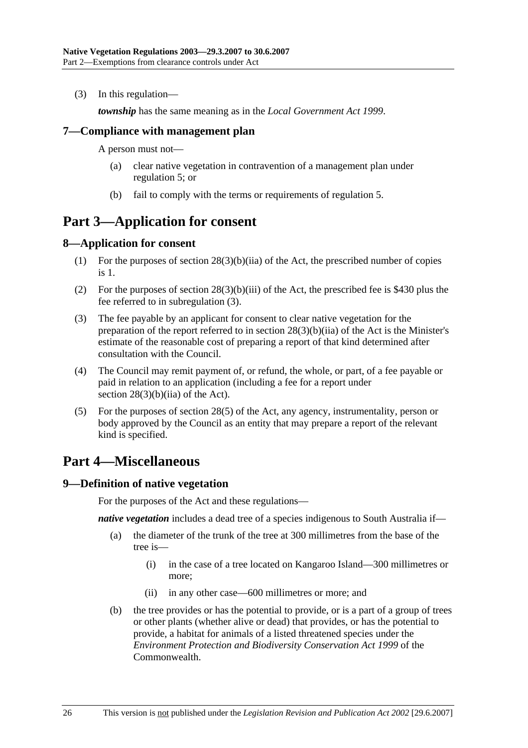(3) In this regulation—

*township* has the same meaning as in the *Local Government Act 1999*.

### **7—Compliance with management plan**

A person must not—

- (a) clear native vegetation in contravention of a management plan under regulation 5; or
- (b) fail to comply with the terms or requirements of regulation 5.

### **Part 3—Application for consent**

### **8—Application for consent**

- (1) For the purposes of section 28(3)(b)(iia) of the Act, the prescribed number of copies is 1.
- (2) For the purposes of section 28(3)(b)(iii) of the Act, the prescribed fee is \$430 plus the fee referred to in subregulation (3).
- (3) The fee payable by an applicant for consent to clear native vegetation for the preparation of the report referred to in section 28(3)(b)(iia) of the Act is the Minister's estimate of the reasonable cost of preparing a report of that kind determined after consultation with the Council.
- (4) The Council may remit payment of, or refund, the whole, or part, of a fee payable or paid in relation to an application (including a fee for a report under section 28(3)(b)(iia) of the Act).
- (5) For the purposes of section 28(5) of the Act, any agency, instrumentality, person or body approved by the Council as an entity that may prepare a report of the relevant kind is specified.

## **Part 4—Miscellaneous**

#### **9—Definition of native vegetation**

For the purposes of the Act and these regulations—

*native vegetation* includes a dead tree of a species indigenous to South Australia if—

- (a) the diameter of the trunk of the tree at 300 millimetres from the base of the tree is—
	- (i) in the case of a tree located on Kangaroo Island—300 millimetres or more;
	- (ii) in any other case—600 millimetres or more; and
- (b) the tree provides or has the potential to provide, or is a part of a group of trees or other plants (whether alive or dead) that provides, or has the potential to provide, a habitat for animals of a listed threatened species under the *Environment Protection and Biodiversity Conservation Act 1999* of the Commonwealth.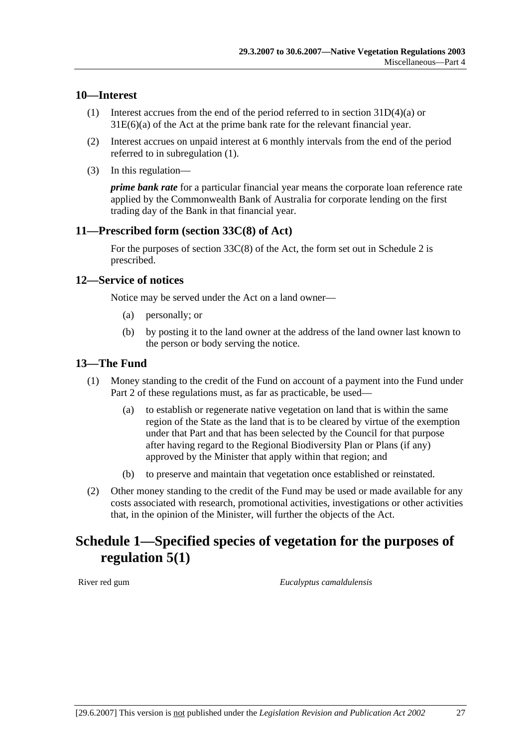### **10—Interest**

- (1) Interest accrues from the end of the period referred to in section 31D(4)(a) or 31E(6)(a) of the Act at the prime bank rate for the relevant financial year.
- (2) Interest accrues on unpaid interest at 6 monthly intervals from the end of the period referred to in subregulation (1).
- (3) In this regulation—

*prime bank rate* for a particular financial year means the corporate loan reference rate applied by the Commonwealth Bank of Australia for corporate lending on the first trading day of the Bank in that financial year.

### **11—Prescribed form (section 33C(8) of Act)**

For the purposes of section  $33C(8)$  of the Act, the form set out in Schedule 2 is prescribed.

#### **12—Service of notices**

Notice may be served under the Act on a land owner—

- (a) personally; or
- (b) by posting it to the land owner at the address of the land owner last known to the person or body serving the notice.

### **13—The Fund**

- (1) Money standing to the credit of the Fund on account of a payment into the Fund under Part 2 of these regulations must, as far as practicable, be used—
	- (a) to establish or regenerate native vegetation on land that is within the same region of the State as the land that is to be cleared by virtue of the exemption under that Part and that has been selected by the Council for that purpose after having regard to the Regional Biodiversity Plan or Plans (if any) approved by the Minister that apply within that region; and
	- (b) to preserve and maintain that vegetation once established or reinstated.
- (2) Other money standing to the credit of the Fund may be used or made available for any costs associated with research, promotional activities, investigations or other activities that, in the opinion of the Minister, will further the objects of the Act.

## **Schedule 1—Specified species of vegetation for the purposes of regulation 5(1)**

River red gum *Eucalyptus camaldulensis*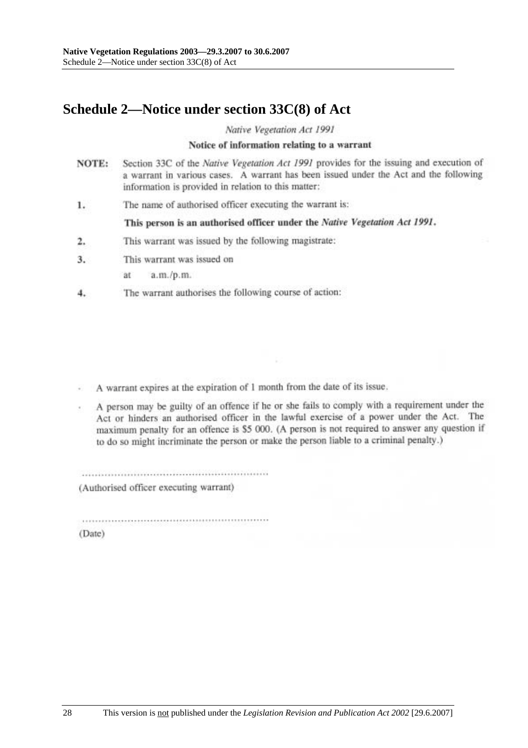## **Schedule 2—Notice under section 33C(8) of Act**

Native Vegetation Act 1991

#### Notice of information relating to a warrant

- Section 33C of the Native Vegetation Act 1991 provides for the issuing and execution of NOTE: a warrant in various cases. A warrant has been issued under the Act and the following information is provided in relation to this matter:
- The name of authorised officer executing the warrant is: 1.

This person is an authorised officer under the Native Vegetation Act 1991.

- This warrant was issued by the following magistrate:  $2.$
- This warrant was issued on  $3.$ 
	- ät a.m./p.m.
- The warrant authorises the following course of action: 4.

A warrant expires at the expiration of 1 month from the date of its issue.

A person may be guilty of an offence if he or she fails to comply with a requirement under the Act or hinders an authorised officer in the lawful exercise of a power under the Act. The maximum penalty for an offence is \$5 000. (A person is not required to answer any question if to do so might incriminate the person or make the person liable to a criminal penalty.)

(Authorised officer executing warrant)

(Date)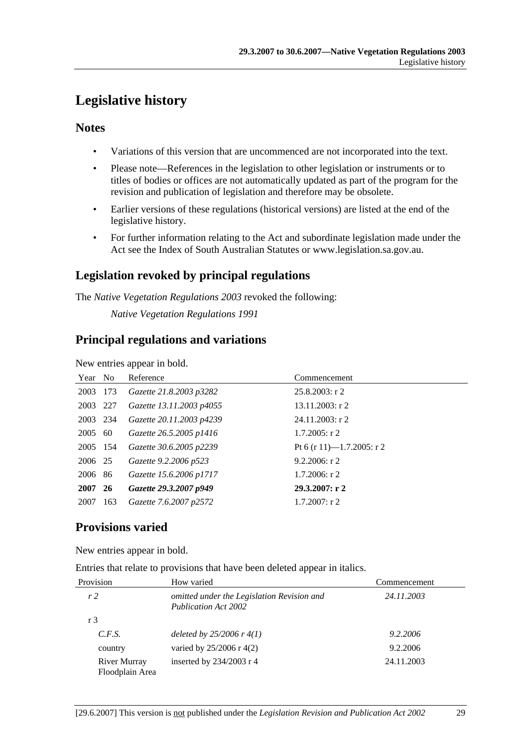# **Legislative history**

### **Notes**

- Variations of this version that are uncommenced are not incorporated into the text.
- Please note—References in the legislation to other legislation or instruments or to titles of bodies or offices are not automatically updated as part of the program for the revision and publication of legislation and therefore may be obsolete.
- Earlier versions of these regulations (historical versions) are listed at the end of the legislative history.
- For further information relating to the Act and subordinate legislation made under the Act see the Index of South Australian Statutes or www.legislation.sa.gov.au.

### **Legislation revoked by principal regulations**

The *Native Vegetation Regulations 2003* revoked the following:

*Native Vegetation Regulations 1991*

### **Principal regulations and variations**

New entries appear in bold.

| Year No  |     | Reference                | Commencement              |
|----------|-----|--------------------------|---------------------------|
| 2003 173 |     | Gazette 21.8.2003 p3282  | $25.8.2003$ : r 2         |
| 2003 227 |     | Gazette 13.11.2003 p4055 | $13.11.2003$ : r 2        |
| 2003 234 |     | Gazette 20.11.2003 p4239 | $24.11.2003$ : r 2        |
| 2005 60  |     | Gazette 26.5.2005 p1416  | $1.7.2005$ : r 2          |
| 2005 154 |     | Gazette 30.6.2005 p2239  | Pt 6 (r 11)—1.7.2005: r 2 |
| 2006 25  |     | Gazette 9.2.2006 p523    | 9.2.2006: $r$ 2           |
| 2006 86  |     | Gazette 15.6.2006 p1717  | $1.7.2006$ : r 2          |
| 2007 26  |     | Gazette 29.3.2007 p949   | 29.3.2007: r2             |
| 2007     | 163 | Gazette 7.6.2007 p2572   | $1.7.2007$ : r 2          |

### **Provisions varied**

New entries appear in bold.

Entries that relate to provisions that have been deleted appear in italics.

| Provision                       | How varied                                                                | Commencement |  |
|---------------------------------|---------------------------------------------------------------------------|--------------|--|
| r <sub>2</sub>                  | omitted under the Legislation Revision and<br><b>Publication Act 2002</b> | 24.11.2003   |  |
| r 3                             |                                                                           |              |  |
| C.F.S.                          | deleted by $25/2006$ r $4(1)$                                             | 9.2.2006     |  |
| country                         | varied by $25/2006$ r 4(2)                                                | 9.2.2006     |  |
| River Murray<br>Floodplain Area | inserted by $234/2003$ r 4                                                | 24.11.2003   |  |